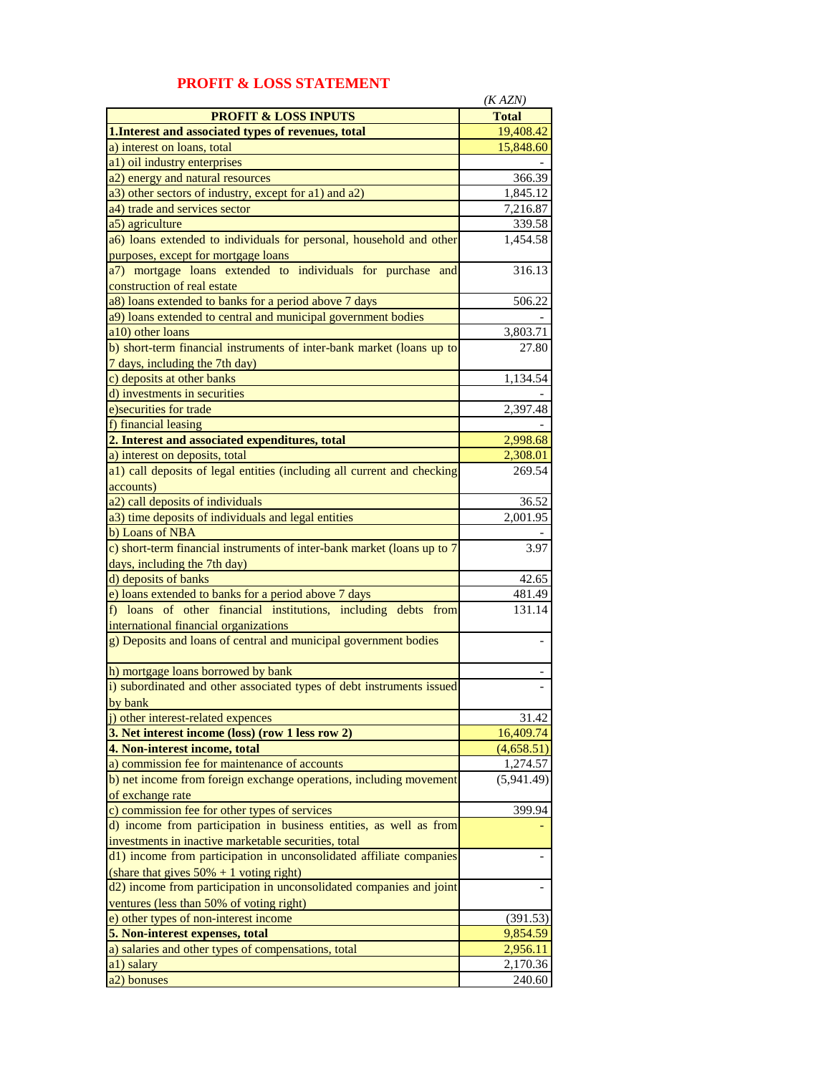|                                                                         | (KAZN)                 |
|-------------------------------------------------------------------------|------------------------|
| <b>PROFIT &amp; LOSS INPUTS</b>                                         | <b>Total</b>           |
| 1. Interest and associated types of revenues, total                     | 19,408.42              |
| a) interest on loans, total                                             | 15,848.60              |
| a1) oil industry enterprises                                            |                        |
| a2) energy and natural resources                                        | 366.39                 |
| a3) other sectors of industry, except for a1) and a2)                   | 1,845.12               |
|                                                                         |                        |
| a4) trade and services sector                                           | 7,216.87               |
| a5) agriculture                                                         | 339.58                 |
| a6) loans extended to individuals for personal, household and other     | 1,454.58               |
| purposes, except for mortgage loans                                     |                        |
| a7) mortgage loans extended to individuals for purchase and             | 316.13                 |
| construction of real estate                                             |                        |
| a8) loans extended to banks for a period above 7 days                   | 506.22                 |
| a9) loans extended to central and municipal government bodies           |                        |
| a10) other loans                                                        | 3,803.71               |
| b) short-term financial instruments of inter-bank market (loans up to   | 27.80                  |
| 7 days, including the 7th day)                                          |                        |
| c) deposits at other banks                                              | 1,134.54               |
| d) investments in securities                                            |                        |
| e) securities for trade                                                 | 2,397.48               |
| f) financial leasing                                                    |                        |
| 2. Interest and associated expenditures, total                          | 2,998.68               |
| a) interest on deposits, total                                          |                        |
|                                                                         | 2,308.01<br>269.54     |
| a1) call deposits of legal entities (including all current and checking |                        |
| accounts)                                                               |                        |
| a2) call deposits of individuals                                        | 36.52                  |
| a3) time deposits of individuals and legal entities                     | 2,001.95               |
| b) Loans of NBA                                                         |                        |
| c) short-term financial instruments of inter-bank market (loans up to 7 | 3.97                   |
| days, including the 7th day)                                            |                        |
| d) deposits of banks                                                    | 42.65                  |
| e) loans extended to banks for a period above 7 days                    | 481.49                 |
| f) loans of other financial institutions, including debts from          | 131.14                 |
| international financial organizations                                   |                        |
| g) Deposits and loans of central and municipal government bodies        |                        |
|                                                                         |                        |
| h) mortgage loans borrowed by bank                                      |                        |
| i) subordinated and other associated types of debt instruments issued   |                        |
| hy hank                                                                 |                        |
| j) other interest-related expences                                      | 31.42                  |
| 3. Net interest income (loss) (row 1 less row 2)                        | 16,409.74              |
| 4. Non-interest income, total                                           | (4,658.51)             |
| a) commission fee for maintenance of accounts                           |                        |
|                                                                         | 1,274.57<br>(5,941.49) |
| b) net income from foreign exchange operations, including movement      |                        |
| of exchange rate                                                        |                        |
| c) commission fee for other types of services                           | 399.94                 |
| d) income from participation in business entities, as well as from      |                        |
| investments in inactive marketable securities, total                    |                        |
| d1) income from participation in unconsolidated affiliate companies     |                        |
| (share that gives $50\% + 1$ voting right)                              |                        |
| d2) income from participation in unconsolidated companies and joint     |                        |
| ventures (less than 50% of voting right)                                |                        |
| e) other types of non-interest income                                   | (391.53)               |
| 5. Non-interest expenses, total                                         | 9,854.59               |
| a) salaries and other types of compensations, total                     | 2,956.11               |
| a1) salary                                                              | 2,170.36               |
| a2) bonuses                                                             | 240.60                 |

## **PROFIT & LOSS STATEMENT**